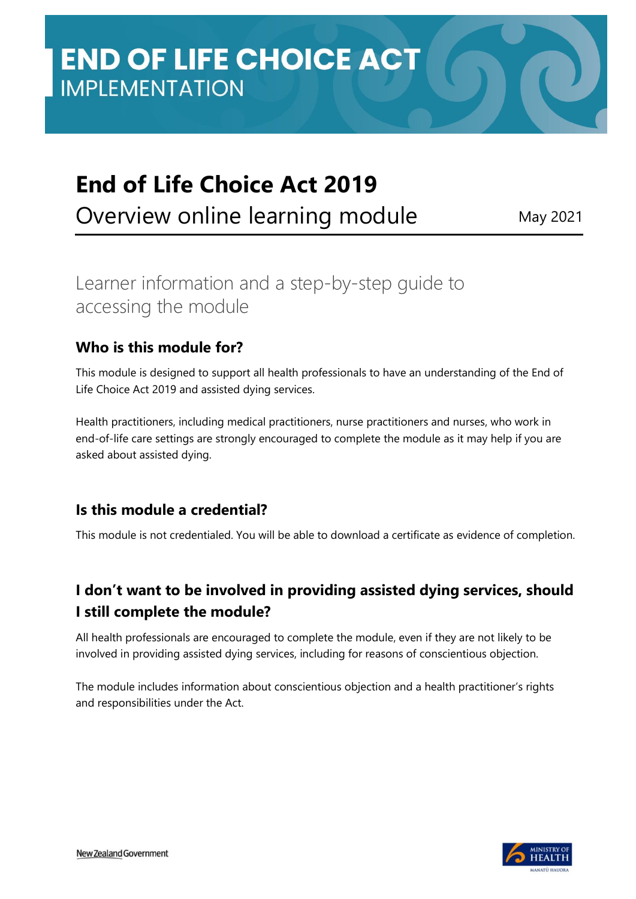# **End of Life Choice Act 2019**

Overview online learning module May 2021

# Learner information and a step-by-step guide to accessing the module

#### **Who is this module for?**

This module is designed to support all health professionals to have an understanding of the End of Life Choice Act 2019 and assisted dying services.

Health practitioners, including medical practitioners, nurse practitioners and nurses, who work in end-of-life care settings are strongly encouraged to complete the module as it may help if you are asked about assisted dying.

#### **Is this module a credential?**

This module is not credentialed. You will be able to download a certificate as evidence of completion.

## **I don't want to be involved in providing assisted dying services, should I still complete the module?**

All health professionals are encouraged to complete the module, even if they are not likely to be involved in providing assisted dying services, including for reasons of conscientious objection.

The module includes information about conscientious objection and a health practitioner's rights and responsibilities under the Act.

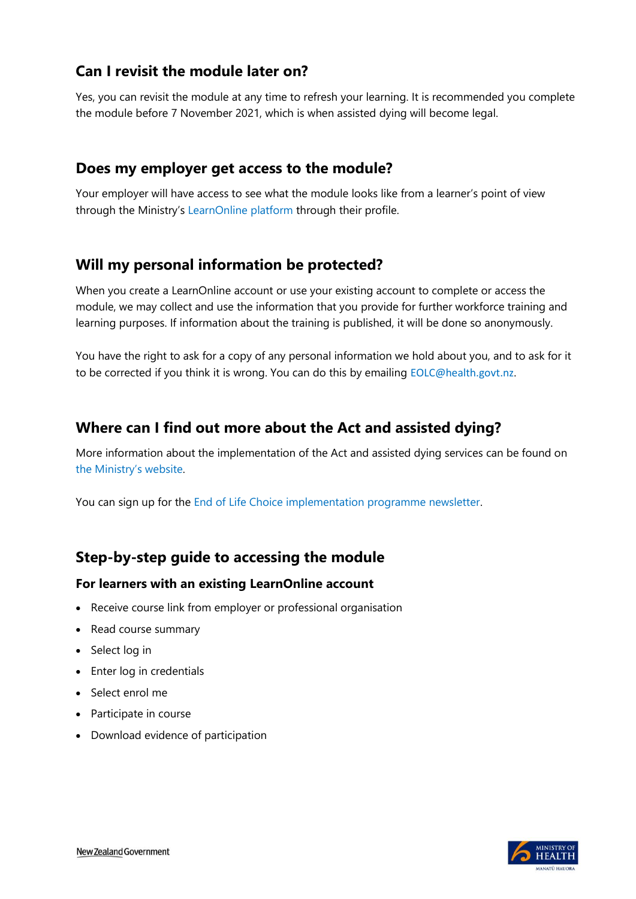#### **Can I revisit the module later on?**

Yes, you can revisit the module at any time to refresh your learning. It is recommended you complete the module before 7 November 2021, which is when assisted dying will become legal.

#### **Does my employer get access to the module?**

Your employer will have access to see what the module looks like from a learner's point of view through the Ministry's [LearnOnline platform](https://learnonline.health.nz/) through their profile.

#### **Will my personal information be protected?**

When you create a LearnOnline account or use your existing account to complete or access the module, we may collect and use the information that you provide for further workforce training and learning purposes. If information about the training is published, it will be done so anonymously.

You have the right to ask for a copy of any personal information we hold about you, and to ask for it to be corrected if you think it is wrong. You can do this by emailing [EOLC@health.govt.nz](mailto:EOLC@health.govt.nz).

#### **Where can I find out more about the Act and assisted dying?**

More information about the implementation of the Act and assisted dying services can be found on [the Ministry's webs](https://www.health.govt.nz/our-work/regulation-health-and-disability-system/end-life-choice-act/end-life-choice-act-updates)ite.

You can sign up for the [End of Life Choice implementation programme newsletter.](https://www.health.govt.nz/our-work/regulation-health-and-disability-system/end-life-choice-act/end-life-choice-act-updates)

## **Step-by-step guide to accessing the module**

#### **For learners with an existing LearnOnline account**

- Receive course link from employer or professional organisation
- Read course summary
- Select log in
- Enter log in credentials
- Select enrol me
- Participate in course
- Download evidence of participation